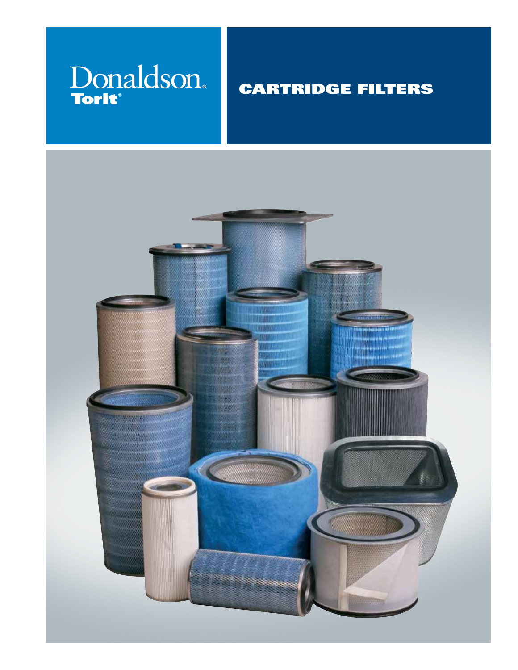# Donaldson.

### CARTRIDGE FILTERS

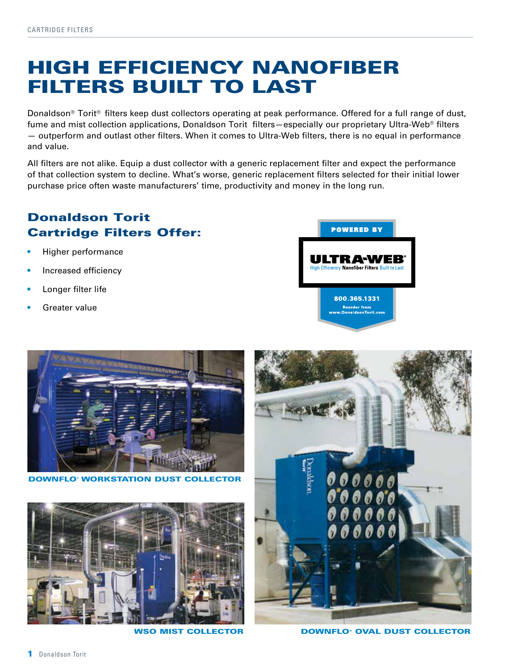### HIGH EFFICIENCY NANOFIBER FILTERS BUILT TO LAST

Donaldson® Torit® filters keep dust collectors operating at peak performance. Offered for a full range of dust, fume and mist collection applications, Donaldson Torit filters—especially our proprietary Ultra-Web® filters — outperform and outlast other filters. When it comes to Ultra-Web filters, there is no equal in performance and value.

All filters are not alike. Equip a dust collector with a generic replacement filter and expect the performance of that collection system to decline. What's worse, generic replacement filters selected for their initial lower purchase price often waste manufacturers' time, productivity and money in the long run.

### Donaldson Torit Cartridge Filters Offer:

- Higher performance
- Increased efficiency
- Longer filter life
- Greater value





**DOWNFLO<sup>®</sup> WORKSTATION DUST COLLECTOR** 





WSO MIST COLLECTOR **DOWNFLO® OVAL DUST COLLECTOR**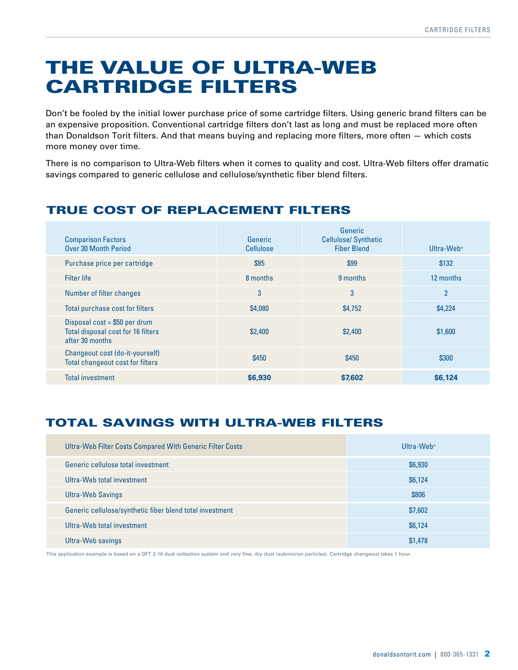### THE VALUE OF ULTRA-WEB CARTRIDGE FILTERS

Don't be fooled by the initial lower purchase price of some cartridge filters. Using generic brand filters can be an expensive proposition. Conventional cartridge filters don't last as long and must be replaced more often than Donaldson Torit filters. And that means buying and replacing more filters, more often — which costs more money over time.

There is no comparison to Ultra-Web filters when it comes to quality and cost. Ultra-Web filters offer dramatic savings compared to generic cellulose and cellulose/synthetic fiber blend filters.

### TRUE COST OF REPLACEMENT FILTERS

| <b>Comparison Factors</b><br><b>Over 30 Month Period</b>                                | Generic<br>Cellulose | Generic<br><b>Cellulose/Synthetic</b><br><b>Fiber Blend</b> | Ultra-Web <sup>®</sup> |
|-----------------------------------------------------------------------------------------|----------------------|-------------------------------------------------------------|------------------------|
| Purchase price per cartridge                                                            | \$85                 | \$99                                                        | \$132                  |
| Filter life                                                                             | 8 months             | 9 months                                                    | 12 months              |
| Number of filter changes                                                                | 3                    | 3                                                           | $\overline{2}$         |
| Total purchase cost for filters                                                         | \$4,080              | \$4,752                                                     | \$4,224                |
| Disposal $cost = $50$ per drum<br>Total disposal cost for 16 filters<br>after 30 months | \$2,400              | \$2,400                                                     | \$1,600                |
| Changeout cost (do-it-yourself)<br><b>Total changeout cost for filters</b>              | \$450                | \$450                                                       | \$300                  |
| <b>Total investment</b>                                                                 | \$6,930              | \$7,602                                                     | \$6,124                |

### TOTAL SAVINGS WITH ULTRA-WEB FILTERS

| Ultra-Web Filter Costs Compared With Generic Filter Costs | Ultra-Web <sup>®</sup> |
|-----------------------------------------------------------|------------------------|
| Generic cellulose total investment                        | \$6,930                |
| Ultra-Web total investment                                | \$6,124                |
| <b>Ultra-Web Savings</b>                                  | \$806                  |
| Generic cellulose/synthetic fiber blend total investment  | \$7,602                |
| Ultra-Web total investment                                | \$6,124                |
| Ultra-Web savings                                         | \$1,478                |

This application example is based on a DFT 2-16 dust collection system and very fine, dry dust (submicron particles). Cartridge changeout takes 1 hour.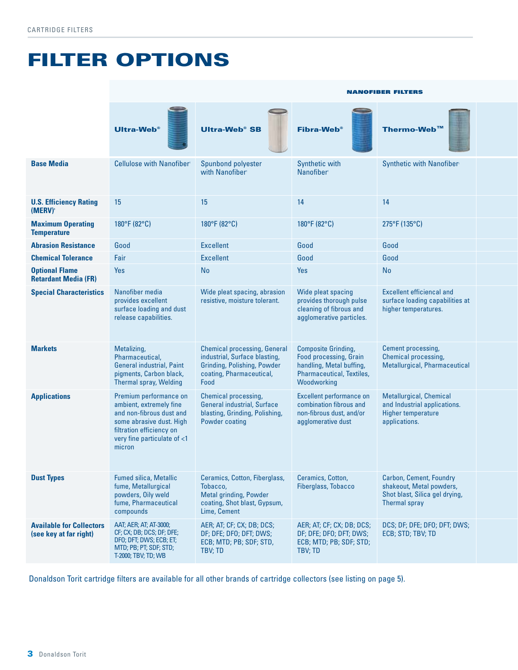### FILTER OPTIONS

|                                                           | <b>NANOFIBER FILTERS</b>                                                                                                                                                                      |                                                                                                                                                |                                                                                                                                            |                                                                                                               |
|-----------------------------------------------------------|-----------------------------------------------------------------------------------------------------------------------------------------------------------------------------------------------|------------------------------------------------------------------------------------------------------------------------------------------------|--------------------------------------------------------------------------------------------------------------------------------------------|---------------------------------------------------------------------------------------------------------------|
|                                                           | Ultra-Web <sup>®</sup>                                                                                                                                                                        | $\equiv$<br><b>Ultra-Web<sup>®</sup> SB</b>                                                                                                    | Fibra-Web <sup>®</sup>                                                                                                                     | Thermo-Web™                                                                                                   |
| <b>Base Media</b>                                         | <b>Cellulose with Nanofiber'</b>                                                                                                                                                              | Spunbond polyester<br>with Nanofiber                                                                                                           | Synthetic with<br>Nanofiber <sup>1</sup>                                                                                                   | Synthetic with Nanofiber                                                                                      |
| <b>U.S. Efficiency Rating 15</b><br>(MERV)                |                                                                                                                                                                                               | 15                                                                                                                                             | 14                                                                                                                                         | 14                                                                                                            |
| <b>Maximum Operating</b><br><b>Temperature</b>            | $180^{\circ}$ F (82 $^{\circ}$ C)                                                                                                                                                             | $180^{\circ}$ F (82 $^{\circ}$ C)                                                                                                              | $180^{\circ}$ F (82 $^{\circ}$ C)                                                                                                          | 275°F (135°C)                                                                                                 |
| <b>Abrasion Resistance</b>                                | Good                                                                                                                                                                                          | Excellent                                                                                                                                      | Good                                                                                                                                       | Good                                                                                                          |
| <b>Chemical Tolerance</b>                                 | Fair                                                                                                                                                                                          | Excellent                                                                                                                                      | Good                                                                                                                                       | Good                                                                                                          |
| <b>Optional Flame</b><br><b>Retardant Media (FR)</b>      | Yes                                                                                                                                                                                           | <b>No</b>                                                                                                                                      | Yes                                                                                                                                        | <b>No</b>                                                                                                     |
| <b>Special Characteristics</b>                            | Nanofiber media<br>provides excellent<br>surface loading and dust<br>release capabilities.                                                                                                    | Wide pleat spacing, abrasion<br>resistive, moisture tolerant.                                                                                  | Wide pleat spacing<br>provides thorough pulse<br>cleaning of fibrous and<br>agglomerative particles.                                       | <b>Excellent efficiencal and</b><br>surface loading capabilities at<br>higher temperatures.                   |
| <b>Markets</b>                                            | Metalizing,<br>Pharmaceutical,<br><b>General industrial, Paint</b><br>pigments, Carbon black,<br>Thermal spray, Welding                                                                       | <b>Chemical processing, General</b><br>industrial, Surface blasting,<br><b>Grinding, Polishing, Powder</b><br>coating, Pharmaceutical,<br>Food | <b>Composite Grinding,</b><br><b>Food processing, Grain</b><br>handling, Metal buffing,<br><b>Pharmaceutical, Textiles,</b><br>Woodworking | <b>Cement processing,</b><br>Chemical processing,<br>Metallurgical, Pharmaceutical                            |
| <b>Applications</b>                                       | Premium performance on<br>ambient, extremely fine<br>and non-fibrous dust and<br>some abrasive dust. High Powder coating<br>filtration efficiency on<br>very fine particulate of <1<br>micron | <b>Chemical processing,</b><br><b>General industrial, Surface</b><br>blasting, Grinding, Polishing,                                            | Excellent performance on<br>combination fibrous and<br>non-fibrous dust, and/or<br>agglomerative dust                                      | <b>Metallurgical, Chemical</b><br>and Industrial applications.<br>Higher temperature<br>applications.         |
| <b>Dust Types</b>                                         | <b>Fumed silica, Metallic</b><br>fume, Metallurgical<br>powders, Oily weld<br>fume, Pharmaceutical<br>compounds                                                                               | Ceramics, Cotton, Fiberglass,<br>Tobacco,<br>Metal grinding, Powder<br>coating, Shot blast, Gypsum,<br>Lime, Cement                            | Ceramics, Cotton,<br>Fiberglass, Tobacco                                                                                                   | <b>Carbon, Cement, Foundry</b><br>shakeout, Metal powders,<br>Shot blast, Silica gel drying,<br>Thermal spray |
| <b>Available for Collectors</b><br>(see key at far right) | AAT; AER; AT; AT-3000;<br>CF; CX; DB; DCS; DF; DFE;<br>DFO; DFT; DWS; ECB; ET;<br>MTD; PB; PT; SDF; STD;<br>T-2000; TBV; TD; WB                                                               | AER; AT; CF; CX; DB; DCS;<br>DF; DFE; DFO; DFT; DWS;<br>ECB; MTD; PB; SDF; STD,<br>TBV; TD                                                     | AER; AT; CF; CX; DB; DCS;<br>DF; DFE; DFO; DFT; DWS; ECB; STD; TBV; TD<br>ECB; MTD; PB; SDF; STD;<br>TBV; TD                               | DCS; DF; DFE; DFO; DFT; DWS;                                                                                  |

Donaldson Torit cartridge filters are available for all other brands of cartridge collectors (see listing on page 5).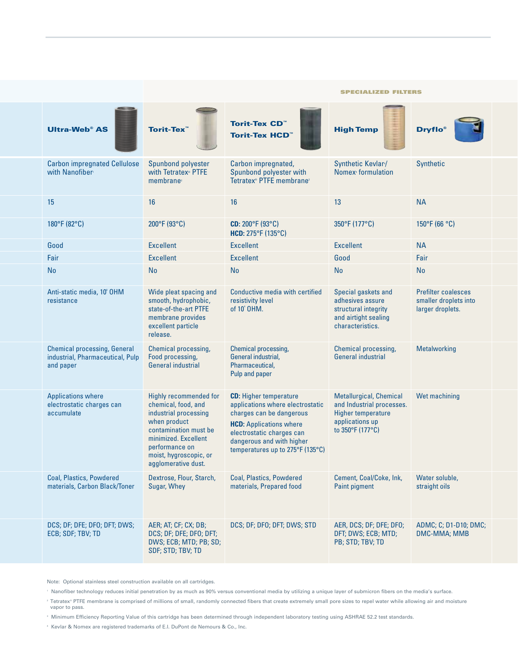|                                                                                                         |                                                                                                                                                                                                            |                                                                                                                                                                                                                               | <b>SPECIALIZED FILTERS</b>                                                                                                      |                                                                         |
|---------------------------------------------------------------------------------------------------------|------------------------------------------------------------------------------------------------------------------------------------------------------------------------------------------------------------|-------------------------------------------------------------------------------------------------------------------------------------------------------------------------------------------------------------------------------|---------------------------------------------------------------------------------------------------------------------------------|-------------------------------------------------------------------------|
| <b>Ultra-Web<sup>®</sup> AS</b>                                                                         | Torit-Tex <sup>™</sup>                                                                                                                                                                                     | Torit-Tex CD"<br>Torit-Tex HCD™                                                                                                                                                                                               | <b>High Temp</b>                                                                                                                | <b>Dryflo</b> ®                                                         |
| <b>Carbon impregnated Cellulose</b><br>with Nanofiber                                                   | Spunbond polyester<br>with Tetratex <sup>®</sup> PTFE<br>membrane                                                                                                                                          | Carbon impregnated,<br>Spunbond polyester with<br>Tetratex® PTFE membrane <sup>2</sup>                                                                                                                                        | Synthetic Kevlar /<br>Nomex formulation                                                                                         | Synthetic                                                               |
| 15                                                                                                      | 16                                                                                                                                                                                                         |                                                                                                                                                                                                                               | 13                                                                                                                              | <b>NA</b>                                                               |
| 180°F (82°C)                                                                                            | $200^{\circ}$ F (93 $^{\circ}$ C)                                                                                                                                                                          | $CD: 200^{\circ}F(93^{\circ}C)$<br>HCD: $275^{\circ}F(135^{\circ}C)$                                                                                                                                                          | 350°F (177°C)                                                                                                                   | $150^{\circ}$ F (66 $^{\circ}$ C)                                       |
| Good                                                                                                    | Excellent                                                                                                                                                                                                  | Excellent                                                                                                                                                                                                                     | Excellent                                                                                                                       | <b>NA</b>                                                               |
| Fair                                                                                                    | Excellent                                                                                                                                                                                                  | Excellent                                                                                                                                                                                                                     | Good                                                                                                                            | Fair                                                                    |
| <b>No</b>                                                                                               | <b>No</b>                                                                                                                                                                                                  | <b>No</b>                                                                                                                                                                                                                     | <b>No</b>                                                                                                                       | No                                                                      |
| Anti-static media, 10° OHM<br>resistance                                                                | Wide pleat spacing and<br>smooth, hydrophobic,<br>state-of-the-art PTFE<br>membrane provides<br>excellent particle<br>release.                                                                             | Conductive media with certified<br>resistivity level<br>of 10 <sup>4</sup> OHM.                                                                                                                                               | Special gaskets and<br>adhesives assure<br>structural integrity<br>and airtight sealing<br>characteristics.                     | <b>Prefilter coalesces</b><br>smaller droplets into<br>larger droplets. |
| <b>Chemical processing, General</b><br>industrial, Pharmaceutical, Pulp   Food processing,<br>and paper | <b>Chemical processing,</b><br><b>General industrial</b>                                                                                                                                                   | <b>Chemical processing,</b><br>General industrial,<br>Pharmaceutical,<br>Pulp and paper                                                                                                                                       | <b>Chemical processing,</b><br><b>General industrial</b>                                                                        | Metalworking                                                            |
| <b>Applications where</b><br>electrostatic charges can<br>accumulate                                    | Highly recommended for<br>chemical, food, and<br>industrial processing<br>when product<br>contamination must be<br>minimized. Excellent<br>performance on<br>moist, hygroscopic, or<br>agglomerative dust. | <b>CD:</b> Higher temperature<br>applications where electrostatic<br>charges can be dangerous<br><b>HCD:</b> Applications where<br>electrostatic charges can<br>dangerous and with higher<br>temperatures up to 275°F (135°C) | Metallurgical, Chemical Wet machining<br>and Industrial processes.<br>Higher temperature<br>applications up<br>to 350°F (177°C) |                                                                         |
| <b>Coal, Plastics, Powdered</b><br>materials, Carbon Black/Toner Sugar, Whey                            |                                                                                                                                                                                                            | Dextrose, Flour, Starch, Coal, Plastics, Powdered<br>materials, Prepared food                                                                                                                                                 | Cement, Coal/Coke, Ink, Water soluble,<br>Paint pigment                                                                         | straight oils                                                           |
| DCS; DF; DFE; DFO; DFT; DWS; AER; AT; CF; CX; DB;<br>ECB; SDF; TBV; TD                                  | DCS; DF; DFE; DFO; DFT;<br>DWS; ECB; MTD; PB; SD;<br>SDF; STD; TBV; TD                                                                                                                                     | DCS; DF; DFO; DFT; DWS; STD                                                                                                                                                                                                   | AER, DCS; DF; DFE; DFO; ADMC; C; D1-D10; DMC;<br>DFT; DWS; ECB; MTD;<br>PB; STD; TBV; TD                                        | <b>DMC-MMA; MMB</b>                                                     |

Note: Optional stainless steel construction available on all cartridges.

1 Nanofiber technology reduces initial penetration by as much as 90% versus conventional media by utilizing a unique layer of submicron fibers on the media's surface.

<sup>2</sup> Tetratex® PTFE membrane is comprised of millions of small, randomly connected fibers that create extremely small pore sizes to repel water while allowing air and moisture vapor to pass.

3 Minimum Efficiency Reporting Value of this cartridge has been determined through independent laboratory testing using ASHRAE 52.2 test standards.

4 Kevlar & Nomex are registered trademarks of E.I. DuPont de Nemours & Co., Inc.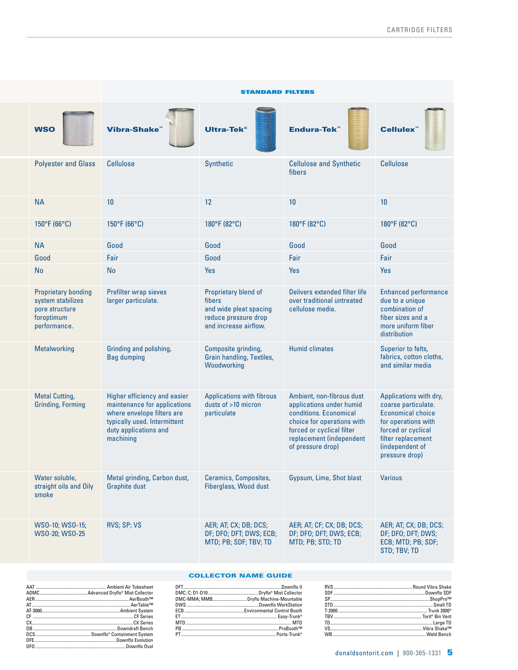|                                                                                                 |                                                                                                                                                                  | <b>STANDARD FILTERS</b>                                                                                            |                                                                                                                                                                                             |                                                                                                                                                                                   |
|-------------------------------------------------------------------------------------------------|------------------------------------------------------------------------------------------------------------------------------------------------------------------|--------------------------------------------------------------------------------------------------------------------|---------------------------------------------------------------------------------------------------------------------------------------------------------------------------------------------|-----------------------------------------------------------------------------------------------------------------------------------------------------------------------------------|
| <b>WSO</b>                                                                                      | Vibra-Shake                                                                                                                                                      | Ultra-Tek <sup>®</sup>                                                                                             | <b>Endura-Tek™</b>                                                                                                                                                                          | Cellulex <sup>™</sup>                                                                                                                                                             |
|                                                                                                 | <b>Polyester and Glass Cellulose</b>                                                                                                                             | Synthetic                                                                                                          | <b>Cellulose and Synthetic</b><br>fibers                                                                                                                                                    | Cellulose                                                                                                                                                                         |
| <b>NA</b>                                                                                       | 10                                                                                                                                                               | 12<br>10                                                                                                           |                                                                                                                                                                                             | 10                                                                                                                                                                                |
| $150^{\circ}$ F (66 $^{\circ}$ C)                                                               | $150^{\circ}$ F (66 $^{\circ}$ C)                                                                                                                                | $180^{\circ}$ F (82 $^{\circ}$ C)                                                                                  | $180^{\circ}$ F (82 $^{\circ}$ C)                                                                                                                                                           | $180^{\circ}$ F (82 $^{\circ}$ C)                                                                                                                                                 |
| <b>NA</b>                                                                                       | Good                                                                                                                                                             | Good                                                                                                               | Good                                                                                                                                                                                        | Good                                                                                                                                                                              |
| Good                                                                                            | Fair                                                                                                                                                             | Good<br>Fair                                                                                                       |                                                                                                                                                                                             | Fair                                                                                                                                                                              |
| No                                                                                              | No                                                                                                                                                               | Yes<br>Yes                                                                                                         |                                                                                                                                                                                             | Yes                                                                                                                                                                               |
| <b>Proprietary bonding</b><br>system stabilizes<br>pore structure<br>foroptimum<br>performance. | Prefilter wrap sieves<br>larger particulate.                                                                                                                     | Proprietary blend of<br>fibers<br>and wide pleat spacing<br>reduce pressure drop<br>and increase airflow.          | Delivers extended filter life<br>over traditional untreated<br>cellulose media.                                                                                                             | <b>Enhanced performance</b><br>due to a unique<br>combination of<br>fiber sizes and a<br>more uniform fiber<br>distribution                                                       |
| Metalworking                                                                                    | Grinding and polishing,<br><b>Bag dumping</b>                                                                                                                    | Composite grinding,<br>Grain handling, Textiles,<br>Woodworking                                                    | <b>Humid climates</b>                                                                                                                                                                       | Superior to felts,<br>fabrics, cotton cloths,<br>and similar media                                                                                                                |
| <b>Metal Cutting,</b><br><b>Grinding, Forming</b>                                               | Higher efficiency and easier<br>maintenance for applications<br>where envelope filters are<br>typically used. Intermittent<br>duty applications and<br>machining | <b>Applications with fibrous</b><br>dusts of >10 micron<br>particulate                                             | Ambient, non-fibrous dust<br>applications under humid<br>conditions. Economical<br>choice for operations with<br>forced or cyclical filter<br>replacement (independent<br>of pressure drop) | Applications with dry,<br>coarse particulate.<br><b>Economical choice</b><br>for operations with<br>forced or cyclical<br>filter replacement<br>(independent of<br>pressure drop) |
| Water soluble,<br>smoke                                                                         | Metal grinding, Carbon dust,<br>straight oils and Oily Graphite dust                                                                                             | <b>Ceramics, Composites,</b><br>Fiberglass, Wood dust                                                              | Gypsum, Lime, Shot blast                                                                                                                                                                    | <b>Various</b>                                                                                                                                                                    |
| WS0-10; WS0-15;<br>WS0-20; WS0-25                                                               | RVS; SP; VS                                                                                                                                                      | AER; AT; CX; DB; DCS;<br>DF; DFO; DFT; DWS; ECB; DF; DFO; DFT; DWS; ECB;<br>MTD; PB; SDF; TBV; TD MTD; PB; STD; TD | AER; AT; CF; CX; DB; DCS;                                                                                                                                                                   | AER; AT; CX; DB; DCS;<br>DF; DF0; DFT; DWS;<br>ECB; MTD; PB; SDF;<br>STD; TBV; TD                                                                                                 |

#### COLLECTOR NAME GUIDE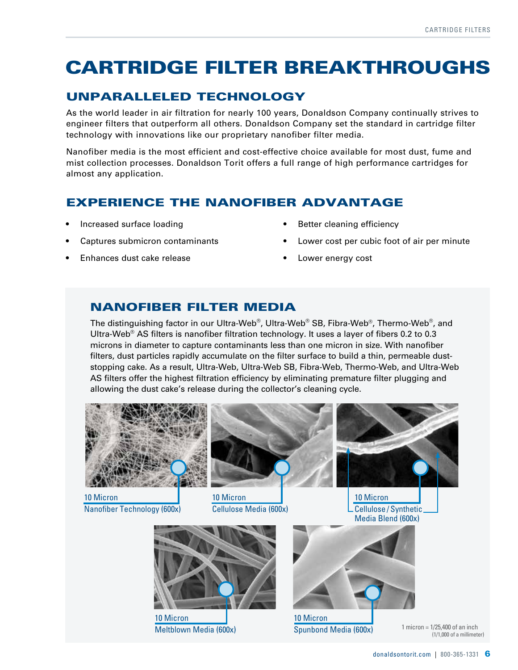### CARTRIDGE FILTER BREAKTHROUGHS

### UNPARALLELED TECHNOLOGY

As the world leader in air filtration for nearly 100 years, Donaldson Company continually strives to engineer filters that outperform all others. Donaldson Company set the standard in cartridge filter technology with innovations like our proprietary nanofiber filter media.

Nanofiber media is the most efficient and cost-effective choice available for most dust, fume and mist collection processes. Donaldson Torit offers a full range of high performance cartridges for almost any application.

### EXPERIENCE THE NANOFIBER ADVANTAGE

- Increased surface loading
- Captures submicron contaminants
- Enhances dust cake release
- Better cleaning efficiency
- Lower cost per cubic foot of air per minute
- Lower energy cost

### NANOFIBER FILTER MEDIA

The distinguishing factor in our Ultra-Web®, Ultra-Web® SB, Fibra-Web®, Thermo-Web®, and Ultra-Web<sup>®</sup> AS filters is nanofiber filtration technology. It uses a layer of fibers 0.2 to 0.3 microns in diameter to capture contaminants less than one micron in size. With nanofiber filters, dust particles rapidly accumulate on the filter surface to build a thin, permeable duststopping cake. As a result, Ultra-Web, Ultra-Web SB, Fibra-Web, Thermo-Web, and Ultra-Web AS filters offer the highest filtration efficiency by eliminating premature filter plugging and allowing the dust cake's release during the collector's cleaning cycle.

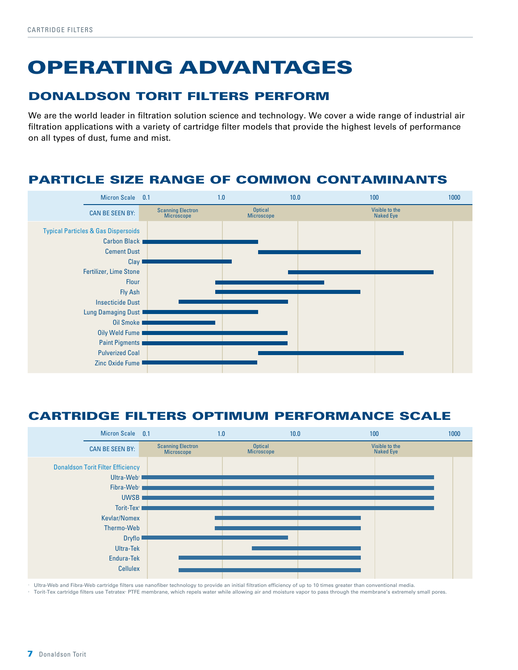# OPERATING ADVANTAGES

### DONALDSON TORIT FILTERS PERFORM

We are the world leader in filtration solution science and technology. We cover a wide range of industrial air filtration applications with a variety of cartridge filter models that provide the highest levels of performance on all types of dust, fume and mist.

### PARTICLE SIZE RANGE OF COMMON CONTAMINANTS



### CARTRIDGE FILTERS OPTIMUM PERFORMANCE SCALE



Ultra-Web and Fibra-Web cartridge filters use nanofiber technology to provide an initial filtration efficiency of up to 10 times greater than conventional media.

Torit-Tex cartridge filters use Tetratex<sup>®</sup> PTFE membrane, which repels water while allowing air and moisture vapor to pass through the membrane's extremely small pores.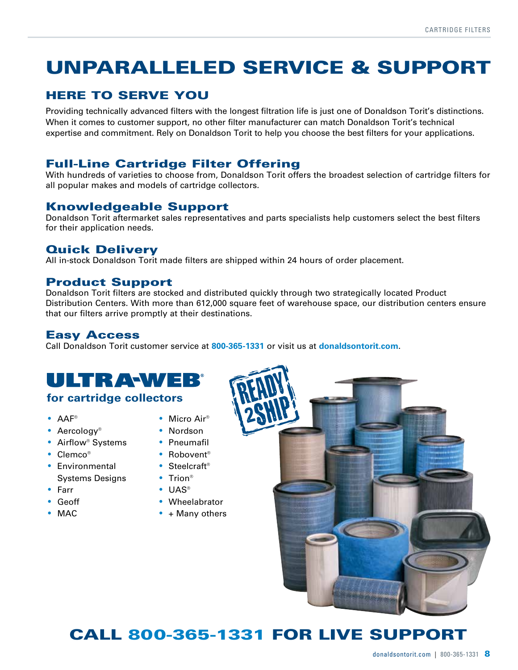### UNPARALLELED SERVICE & SUPPORT

### HERE TO SERVE YOU

Providing technically advanced filters with the longest filtration life is just one of Donaldson Torit's distinctions. When it comes to customer support, no other filter manufacturer can match Donaldson Torit's technical expertise and commitment. Rely on Donaldson Torit to help you choose the best filters for your applications.

### Full-Line Cartridge Filter Offering

With hundreds of varieties to choose from, Donaldson Torit offers the broadest selection of cartridge filters for all popular makes and models of cartridge collectors.

### Knowledgeable Support

Donaldson Torit aftermarket sales representatives and parts specialists help customers select the best filters for their application needs.

#### Quick Delivery

All in-stock Donaldson Torit made filters are shipped within 24 hours of order placement.

#### Product Support

Donaldson Torit filters are stocked and distributed quickly through two strategically located Product Distribution Centers. With more than 612,000 square feet of warehouse space, our distribution centers ensure that our filters arrive promptly at their destinations.

#### Easy Access

Call Donaldson Torit customer service at **800-365-1331** or visit us at **donaldsontorit.com**.

## ULTRAWEB

#### **for cartridge collectors**

• AAF®

- Micro Air<sup>®</sup>
- Nordson
- Airflow<sup>®</sup> Systems
- Clemco®

• Aercology<sup>®</sup>

- Environmental Systems Designs
- Farr
- Geoff
- MAC
- Pneumafil
- Robovent<sup>®</sup>
- Steelcraft<sup>®</sup>
- Trion<sup>®</sup>
- UAS®
- Wheelabrator
- $\bullet$  + Many others



### CALL 800-365-1331 FOR LIVE SUPPORT